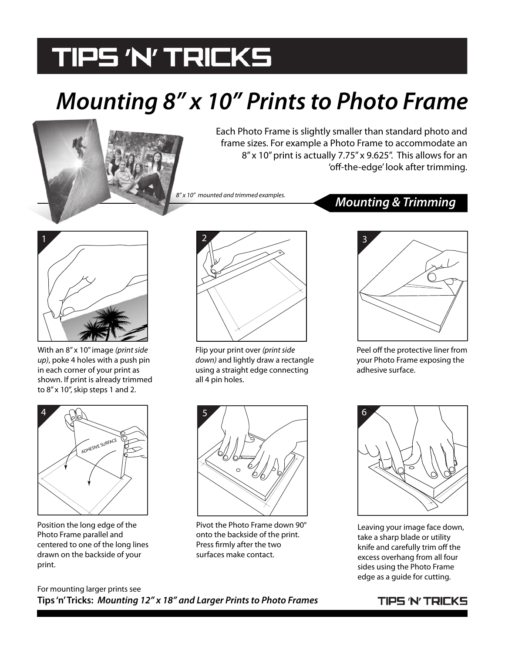## **TIPS 'N' TRICKS**

## *Mounting 8" x 10" Prints to Photo Frame*

Each Photo Frame is slightly smaller than standard photo and frame sizes. For example a Photo Frame to accommodate an 8" x 10" print is actually 7.75" x 9.625". This allows for an 'off-the-edge' look after trimming.

*8" x 10" mounted and trimmed examples.*

### *Mounting & Trimming*



With an 8" x 10" image *(print side up)*, poke 4 holes with a push pin in each corner of your print as shown. If print is already trimmed to 8" x 10", skip steps 1 and 2.



Position the long edge of the Photo Frame parallel and centered to one of the long lines drawn on the backside of your print.



Flip your print over *(print side down)* and lightly draw a rectangle using a straight edge connecting all 4 pin holes.



Peel off the protective liner from your Photo Frame exposing the adhesive surface.



Pivot the Photo Frame down 90° onto the backside of the print. Press firmly after the two surfaces make contact.



Leaving your image face down, take a sharp blade or utility knife and carefully trim off the excess overhang from all four sides using the Photo Frame edge as a guide for cutting.

For mounting larger prints see **Tips 'n' Tricks:** *Mounting 12" x 18" and Larger Prints to Photo Frames*

### TIPS 'N' TRICKS